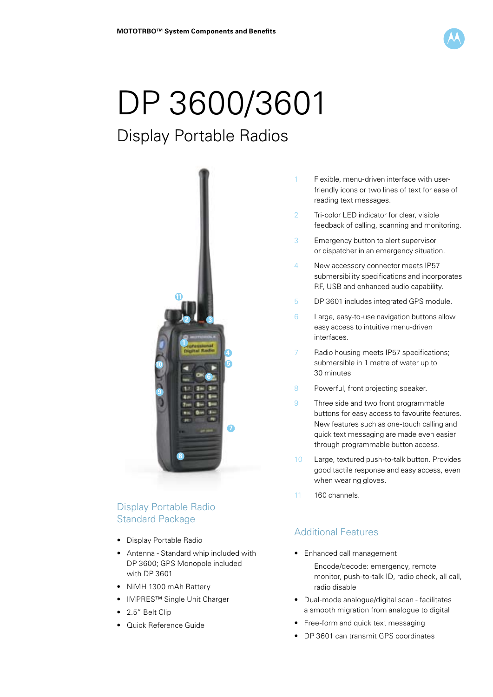

# DP 3600/3601

# Display Portable Radios



# Display Portable Radio Standard Package

- Display Portable Radio
- Antenna Standard whip included with DP 3600; GPS Monopole included with DP 3601
- NiMH 1300 mAh Battery
- IMPRES™ Single Unit Charger
- 2.5" Belt Clip
- Quick Reference Guide
- 1 Flexible, menu-driven interface with user friendly icons or two lines of text for ease of reading text messages.
- 2 Tri-color LED indicator for clear, visible feedback of calling, scanning and monitoring.
- 3 Emergency button to alert supervisor or dispatcher in an emergency situation.
- 4 New accessory connector meets IP57 submersibility specifications and incorporates RF, USB and enhanced audio capability.
- 5 DP 3601 includes integrated GPS module.
- 6 Large, easy-to-use navigation buttons allow easy access to intuitive menu-driven interfaces.
- 7 Radio housing meets IP57 specifications; submersible in 1 metre of water up to 30 minutes
- 8 Powerful, front projecting speaker.
- 9 Three side and two front programmable buttons for easy access to favourite features. New features such as one-touch calling and quick text messaging are made even easier through programmable button access.
- 10 Large, textured push-to-talk button. Provides good tactile response and easy access, even when wearing gloves.
- 11 160 channels.

## Additional Features

• Enhanced call management

 Encode/decode: emergency, remote monitor, push-to-talk ID, radio check, all call, radio disable

- Dual-mode analogue/digital scan facilitates a smooth migration from analogue to digital
- Free-form and quick text messaging
- DP 3601 can transmit GPS coordinates